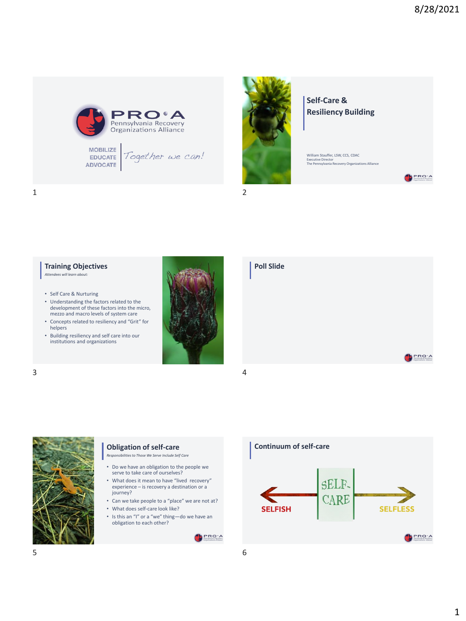PRO'A

PRO'A





**Poll Slide**

# **Self-Care & Resiliency Building**

William Stauffer, LSW, CCS, CDAC Executive Director The Pennsylvania Recovery Organizations Alliance



# **Training Objectives** *Attendees will learn about:*

- Self Care & Nurturing
- Understanding the factors related to the development of these factors into the micro, mezzo and macro levels of system care
- Concepts related to resiliency and "Grit" for helpers
- Building resiliency and self care into our institutions and organizations







## **Obligation of self-care**

*Responsibilities to Those We Serve Include Self Care*

- Do we have an obligation to the people we serve to take care of ourselves?
- What does it mean to have "lived recovery" experience – is recovery a destination or a journey?
- Can we take people to a "place" we are not at?
- What does self-care look like?
- Is this an "I" or a "we" thing—do we have an obligation to each other?

PRO'A

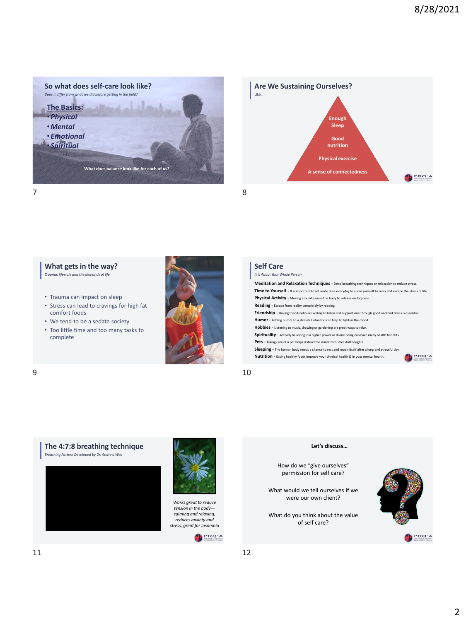









*Works great to reduce tension in the body calming and relaxing, reduces anxiety and stress, great for insomnia*



#### **Let's discuss…**

How do we "give ourselves" permission for self care?

What would we tell ourselves if we were our own client?

What do you think about the value of self care?

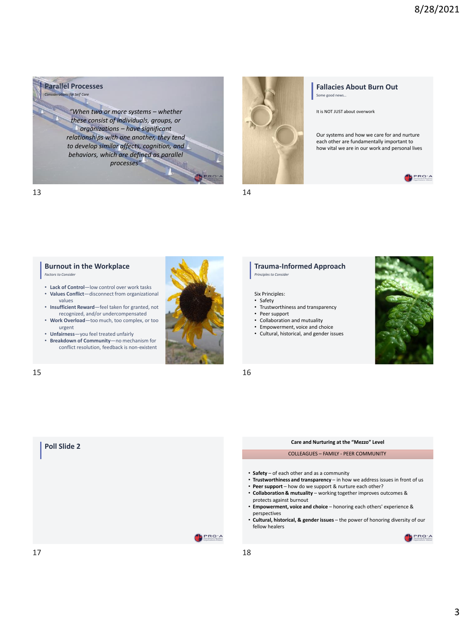**Parallel Processes** *Considerations for Self Care*

> *"When two or more systems – whether these consist of individuals, groups, or organizations – have significant relationships with one another, they tend to develop similar affects, cognition, and behaviors, which are defined as parallel processes"*



### **Fallacies About Burn Out** Some good news…

It is NOT JUST about overwork

Our systems and how we care for and nurture each other are fundamentally important to how vital we are in our work and personal lives



13 14



*Factors to Consider* 

- **Lack of Control**—low control over work tasks • **Values Conflict**—disconnect from organizational
- values • **Insufficient Reward**—feel taken for granted, not
- recognized, and/or undercompensated • **Work Overload**—too much, too complex, or too urgent
- **Unfairness**—you feel treated unfairly
- **Breakdown of Community**—no mechanism for conflict resolution, feedback is non-existent



#### **Trauma-Informed Approach** *Principles to Consider*

#### Six Principles:

- Safety
- Trustworthiness and transparency
- Peer support
- Collaboration and mutuality
- Empowerment, voice and choice
- Cultural, historical, and gender issues



 $15$  16

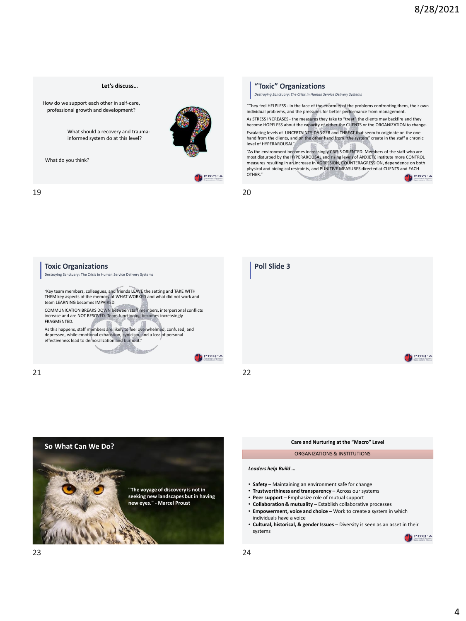

### **"Toxic" Organizations**

*Destroying Sanctuary: The Crisis in Human Service Delivery Systems*

"They feel HELPLESS - in the face of the enormity of the problems confronting them, their own individual problems, and the pressures for better performance from management.

As STRESS INCREASES - the measures they take to "treat" the clients may backfire and they become HOPELESS about the capacity of either the CLIENTS or the ORGANIZATION to change. Escalating levels of UNCERTAINTY, DANGER and THREAT that seem to originate on the one hand from the clients, and on the other hand from "the system" create in the staff a chronic level of HYPERAROUSAL"

"As the environment becomes increasingly CRISIS ORIENTED. Members of the staff who are most disturbed by the HYPERAROUSAL and rising levels of ANXIETY, institute more CONTROL measures resulting in an increase in AGRESSION, COUNTERAGRESSION, dependence on both<br>physical and biological restraints, and PUNITIVE MEASURES directed at CLIENTS and EACH OTHER."



F







| Care and Nurturing at the "Macro" Level                                                                                                                                                                                                                                                                                                                                                                                        |
|--------------------------------------------------------------------------------------------------------------------------------------------------------------------------------------------------------------------------------------------------------------------------------------------------------------------------------------------------------------------------------------------------------------------------------|
| ORGANIZATIONS & INSTITUTIONS                                                                                                                                                                                                                                                                                                                                                                                                   |
| Leaders help Build                                                                                                                                                                                                                                                                                                                                                                                                             |
| • Safety - Maintaining an environment safe for change<br>• Trustworthiness and transparency - Across our systems<br>• Peer support - Emphasize role of mutual support<br>• Collaboration & mutuality - Establish collaborative processes<br>• Empowerment, voice and choice - Work to create a system in which<br>individuals have a voice<br>• Cultural, historical, & gender Issues – Diversity is seen as an asset in their |
| systems                                                                                                                                                                                                                                                                                                                                                                                                                        |

**B**PRO'A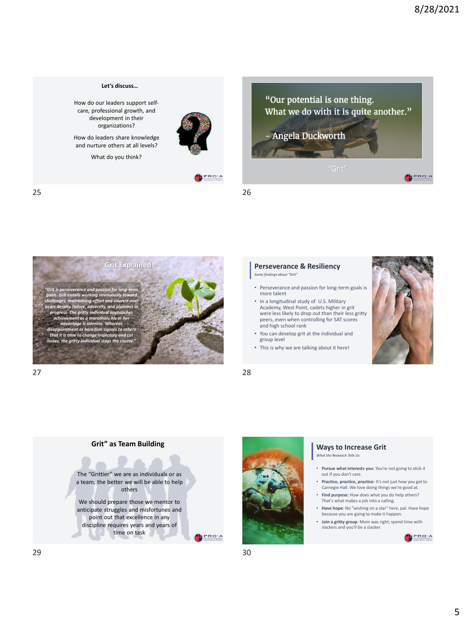

PRO'A





**Let's discuss…**

How do our leaders support selfcare, professional growth, and development in their organizations? How do leaders share knowledge and nurture others at all levels? What do you think?

## 27 28

## **Perseverance & Resiliency**

*Some findings about "Grit"* 

- Perseverance and passion for long-term goals is more talent
- In a longitudinal study of U.S. Military Academy, West Point, cadets higher in grit were less likely to drop out than their less gritty peers, even when controlling for SAT scores and high school rank
- You can develop grit at the individual and group level
- This is why we are talking about it here!







## **Ways to Increase Grit**

*What the Research Tells Us* 

- **Pursue what interests you**: You're not going to stick it out if you don't care.
- **Practice, practice, practice**: It's not just how you get to Carnegie Hall. We love doing things we're good at.
- **Find purpose**: How does what you do help others? That's what makes a job into a calling.
- **Have hope**: No "wishing on a star" here, pal. Have hope because you are going to make it happen.
- **Join a gritty group**: Mom was right; spend time with slackers and you'll be a slacker.

PRO'A